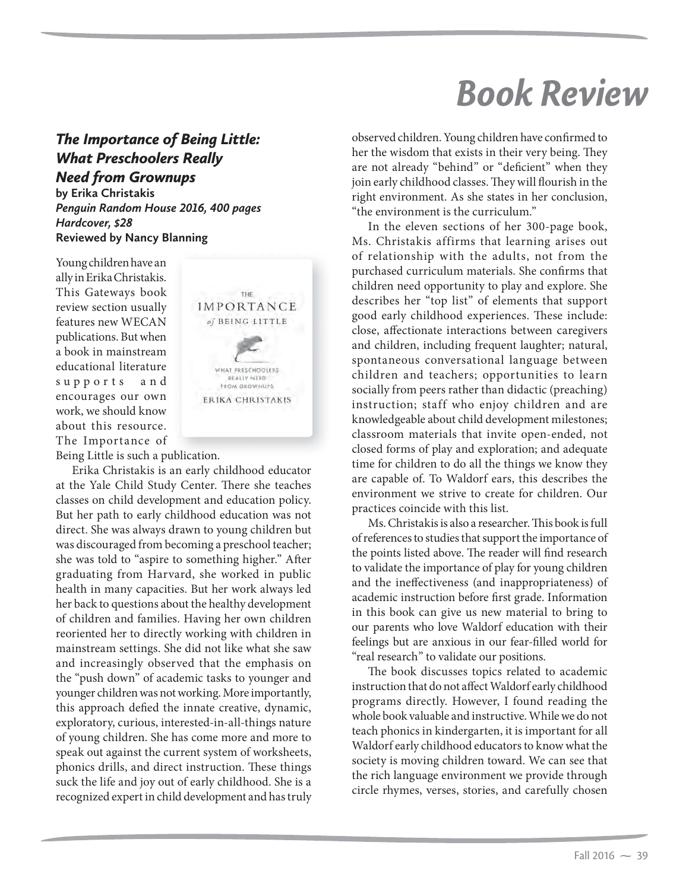## *Book Review*

## *The Importance of Being Little: What Preschoolers Really Need from Grownups*

**by Erika Christakis** *Penguin Random House 2016, 400 pages Hardcover, \$28* **Reviewed by Nancy Blanning**

Young children have an ally in Erika Christakis. This Gateways book review section usually features new WECAN publications. But when a book in mainstream educational literature supports and encourages our own work, we should know about this resource. The Importance of



Being Little is such a publication.

Erika Christakis is an early childhood educator at the Yale Child Study Center. There she teaches classes on child development and education policy. But her path to early childhood education was not direct. She was always drawn to young children but was discouraged from becoming a preschool teacher; she was told to "aspire to something higher." After graduating from Harvard, she worked in public health in many capacities. But her work always led her back to questions about the healthy development of children and families. Having her own children reoriented her to directly working with children in mainstream settings. She did not like what she saw and increasingly observed that the emphasis on the "push down" of academic tasks to younger and younger children was not working. More importantly, this approach defied the innate creative, dynamic, exploratory, curious, interested-in-all-things nature of young children. She has come more and more to speak out against the current system of worksheets, phonics drills, and direct instruction. These things suck the life and joy out of early childhood. She is a recognized expert in child development and has truly observed children. Young children have confirmed to her the wisdom that exists in their very being. They are not already "behind" or "deficient" when they join early childhood classes. They will flourish in the right environment. As she states in her conclusion, "the environment is the curriculum."

In the eleven sections of her 300-page book, Ms. Christakis affirms that learning arises out of relationship with the adults, not from the purchased curriculum materials. She confirms that children need opportunity to play and explore. She describes her "top list" of elements that support good early childhood experiences. These include: close, affectionate interactions between caregivers and children, including frequent laughter; natural, spontaneous conversational language between children and teachers; opportunities to learn socially from peers rather than didactic (preaching) instruction; staff who enjoy children and are knowledgeable about child development milestones; classroom materials that invite open-ended, not closed forms of play and exploration; and adequate time for children to do all the things we know they are capable of. To Waldorf ears, this describes the environment we strive to create for children. Our practices coincide with this list.

Ms. Christakis is also a researcher. This book is full of references to studies that support the importance of the points listed above. The reader will find research to validate the importance of play for young children and the ineffectiveness (and inappropriateness) of academic instruction before first grade. Information in this book can give us new material to bring to our parents who love Waldorf education with their feelings but are anxious in our fear-filled world for "real research" to validate our positions.

The book discusses topics related to academic instruction that do not affect Waldorf early childhood programs directly. However, I found reading the whole book valuable and instructive. While we do not teach phonics in kindergarten, it is important for all Waldorf early childhood educators to know what the society is moving children toward. We can see that the rich language environment we provide through circle rhymes, verses, stories, and carefully chosen